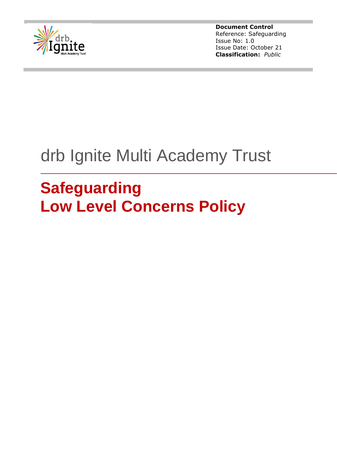

# drb Ignite Multi Academy Trust

# **Safeguarding Low Level Concerns Policy**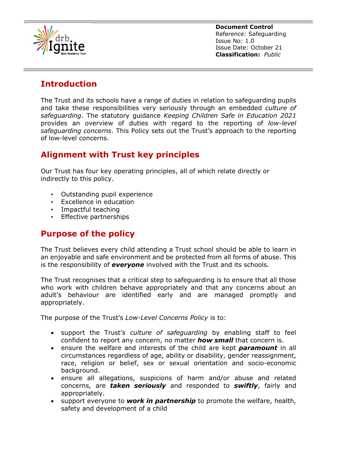

# **Introduction**

The Trust and its schools have a range of duties in relation to safeguarding pupils and take these responsibilities very seriously through an embedded *culture of safeguarding*. The statutory guidance *Keeping Children Safe in Education 2021* provides an overview of duties with regard to the reporting of *low-level safeguarding concerns*. This Policy sets out the Trust's approach to the reporting of low-level concerns.

# **Alignment with Trust key principles**

Our Trust has four key operating principles, all of which relate directly or indirectly to this policy.

- Outstanding pupil experience
- Excellence in education
- Impactful teaching
- Effective partnerships

## **Purpose of the policy**

The Trust believes every child attending a Trust school should be able to learn in an enjoyable and safe environment and be protected from all forms of abuse. This is the responsibility of *everyone* involved with the Trust and its schools.

The Trust recognises that a critical step to safeguarding is to ensure that all those who work with children behave appropriately and that any concerns about an adult's behaviour are identified early and are managed promptly and appropriately.

The purpose of the Trust's *Low-Level Concerns Policy* is to:

- support the Trust's *culture of safeguarding* by enabling staff to feel confident to report any concern, no matter *how small* that concern is.
- ensure the welfare and interests of the child are kept *paramount* in all circumstances regardless of age, ability or disability, gender reassignment, race, religion or belief, sex or sexual orientation and socio-economic background.
- ensure all allegations, suspicions of harm and/or abuse and related concerns, are *taken seriously* and responded to *swiftly*, fairly and appropriately.
- support everyone to **work in partnership** to promote the welfare, health, safety and development of a child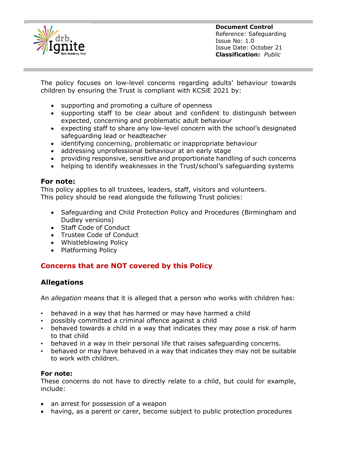

The policy focuses on low-level concerns regarding adults' behaviour towards children by ensuring the Trust is compliant with KCSiE 2021 by:

- supporting and promoting a culture of openness
- supporting staff to be clear about and confident to distinguish between expected, concerning and problematic adult behaviour
- expecting staff to share any low-level concern with the school's designated safeguarding lead or headteacher
- identifying concerning, problematic or inappropriate behaviour
- addressing unprofessional behaviour at an early stage
- providing responsive, sensitive and proportionate handling of such concerns
- helping to identify weaknesses in the Trust/school's safeguarding systems

#### **For note:**

This policy applies to all trustees, leaders, staff, visitors and volunteers. This policy should be read alongside the following Trust policies:

- Safeguarding and Child Protection Policy and Procedures (Birmingham and Dudley versions)
- Staff Code of Conduct
- Trustee Code of Conduct
- Whistleblowing Policy
- Platforming Policy

## **Concerns that are NOT covered by this Policy**

## **Allegations**

An *allegation* means that it is alleged that a person who works with children has:

- behaved in a way that has harmed or may have harmed a child
- possibly committed a criminal offence against a child
- behaved towards a child in a way that indicates they may pose a risk of harm to that child
- behaved in a way in their personal life that raises safeguarding concerns.
- behaved or may have behaved in a way that indicates they may not be suitable to work with children.

#### **For note:**

These concerns do not have to directly relate to a child, but could for example, include:

- an arrest for possession of a weapon
- having, as a parent or carer, become subject to public protection procedures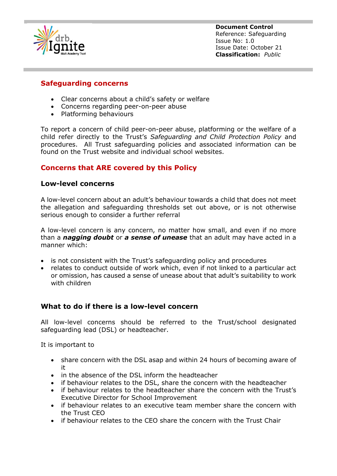

## **Safeguarding concerns**

- Clear concerns about a child's safety or welfare
- Concerns regarding peer-on-peer abuse
- Platforming behaviours

To report a concern of child peer-on-peer abuse, platforming or the welfare of a child refer directly to the Trust's *Safeguarding and Child Protection Policy* and procedures. All Trust safeguarding policies and associated information can be found on the Trust website and individual school websites.

## **Concerns that ARE covered by this Policy**

#### **Low-level concerns**

A low-level concern about an adult's behaviour towards a child that does not meet the allegation and safeguarding thresholds set out above, or is not otherwise serious enough to consider a further referral

A low-level concern is any concern, no matter how small, and even if no more than a *nagging doubt* or *a sense of unease* that an adult may have acted in a manner which:

- is not consistent with the Trust's safeguarding policy and procedures
- relates to conduct outside of work which, even if not linked to a particular act or omission, has caused a sense of unease about that adult's suitability to work with children

## **What to do if there is a low-level concern**

All low-level concerns should be referred to the Trust/school designated safeguarding lead (DSL) or headteacher.

It is important to

- share concern with the DSL asap and within 24 hours of becoming aware of it
- in the absence of the DSL inform the headteacher
- if behaviour relates to the DSL, share the concern with the headteacher
- if behaviour relates to the headteacher share the concern with the Trust's Executive Director for School Improvement
- if behaviour relates to an executive team member share the concern with the Trust CEO
- if behaviour relates to the CEO share the concern with the Trust Chair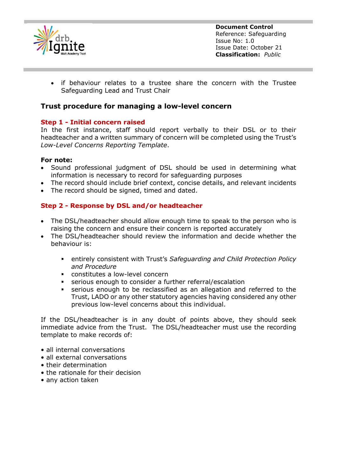

• if behaviour relates to a trustee share the concern with the Trustee Safeguarding Lead and Trust Chair

#### **Trust procedure for managing a low-level concern**

#### **Step 1 - Initial concern raised**

In the first instance, staff should report verbally to their DSL or to their headteacher and a written summary of concern will be completed using the Trust's *Low-Level Concerns Reporting Template*.

#### **For note:**

- Sound professional judgment of DSL should be used in determining what information is necessary to record for safeguarding purposes
- The record should include brief context, concise details, and relevant incidents
- The record should be signed, timed and dated.

#### **Step 2 - Response by DSL and/or headteacher**

- The DSL/headteacher should allow enough time to speak to the person who is raising the concern and ensure their concern is reported accurately
- The DSL/headteacher should review the information and decide whether the behaviour is:
	- entirely consistent with Trust's *Safeguarding and Child Protection Policy and Procedure*
	- constitutes a low-level concern
	- serious enough to consider a further referral/escalation
	- serious enough to be reclassified as an allegation and referred to the Trust, LADO or any other statutory agencies having considered any other previous low-level concerns about this individual.

If the DSL/headteacher is in any doubt of points above, they should seek immediate advice from the Trust. The DSL/headteacher must use the recording template to make records of:

- all internal conversations
- all external conversations
- their determination
- the rationale for their decision
- any action taken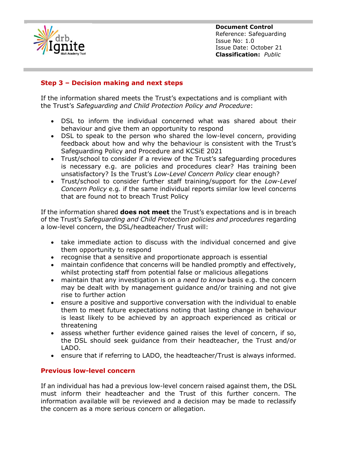

#### **Step 3 – Decision making and next steps**

If the information shared meets the Trust's expectations and is compliant with the Trust's *Safeguarding and Child Protection Policy and Procedure*:

- DSL to inform the individual concerned what was shared about their behaviour and give them an opportunity to respond
- DSL to speak to the person who shared the low-level concern, providing feedback about how and why the behaviour is consistent with the Trust's Safeguarding Policy and Procedure and KCSiE 2021
- Trust/school to consider if a review of the Trust's safeguarding procedures is necessary e.g. are policies and procedures clear? Has training been unsatisfactory? Is the Trust's *Low-Level Concern Policy* clear enough?
- Trust/school to consider further staff training/support for the *Low-Level Concern Policy* e.g*.* if the same individual reports similar low level concerns that are found not to breach Trust Policy

If the information shared **does not meet** the Trust's expectations and is in breach of the Trust's *Safeguarding and Child Protection policies and procedures* regarding a low-level concern, the DSL/headteacher/ Trust will:

- take immediate action to discuss with the individual concerned and give them opportunity to respond
- recognise that a sensitive and proportionate approach is essential
- maintain confidence that concerns will be handled promptly and effectively, whilst protecting staff from potential false or malicious allegations
- maintain that any investigation is on a *need to know* basis e.g. the concern may be dealt with by management guidance and/or training and not give rise to further action
- ensure a positive and supportive conversation with the individual to enable them to meet future expectations noting that lasting change in behaviour is least likely to be achieved by an approach experienced as critical or threatening
- assess whether further evidence gained raises the level of concern, if so, the DSL should seek guidance from their headteacher, the Trust and/or LADO.
- ensure that if referring to LADO, the headteacher/Trust is always informed.

#### **Previous low-level concern**

If an individual has had a previous low-level concern raised against them, the DSL must inform their headteacher and the Trust of this further concern. The information available will be reviewed and a decision may be made to reclassify the concern as a more serious concern or allegation.